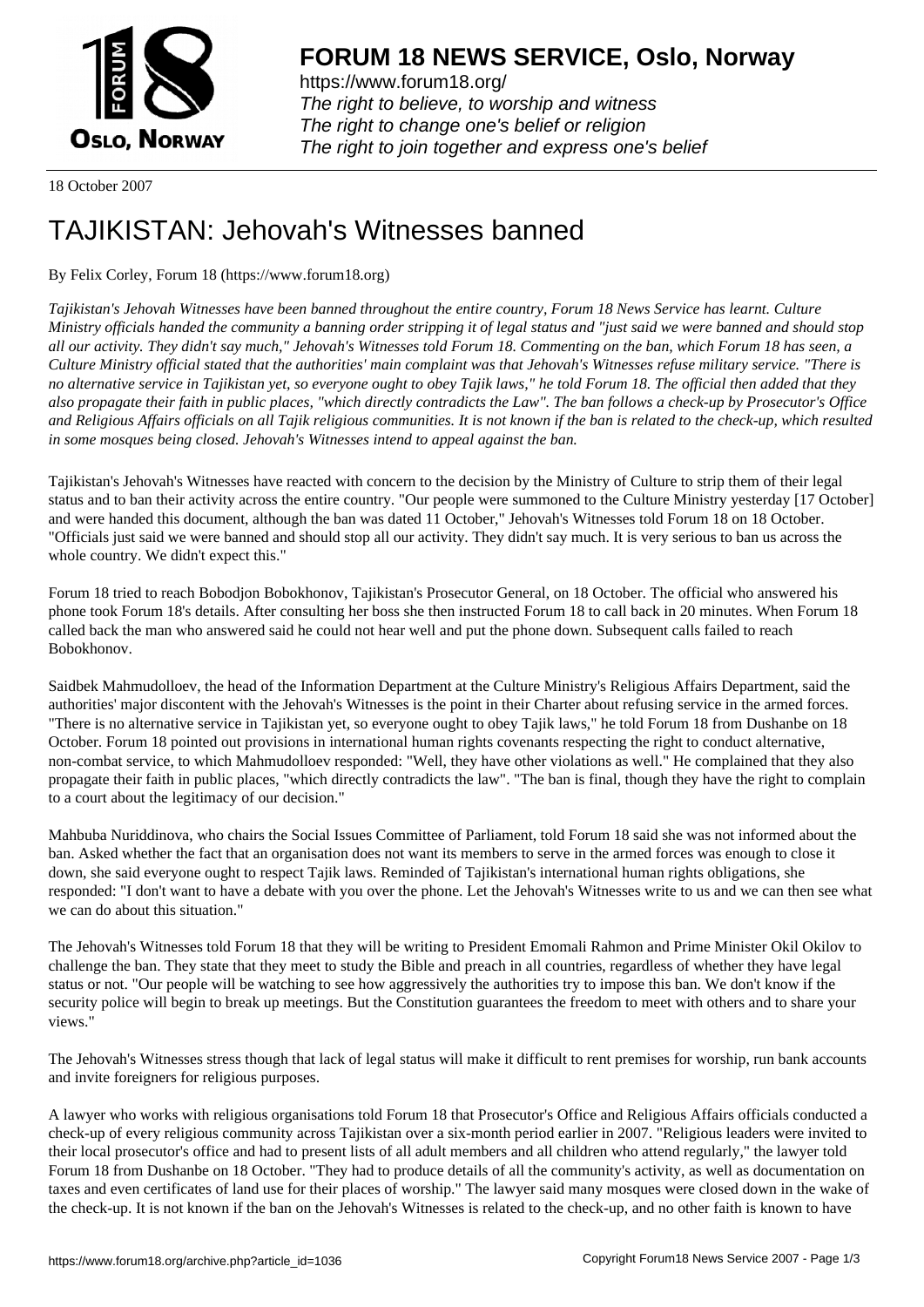

https://www.forum18.org/ The right to believe, to worship and witness The right to change one's belief or religion [The right to join together a](https://www.forum18.org/)nd express one's belief

18 October 2007

## [TAJIKISTAN: Je](https://www.forum18.org)hovah's Witnesses banned

## By Felix Corley, Forum 18 (https://www.forum18.org)

*Tajikistan's Jehovah Witnesses have been banned throughout the entire country, Forum 18 News Service has learnt. Culture Ministry officials handed the community a banning order stripping it of legal status and "just said we were banned and should stop all our activity. They didn't say much," Jehovah's Witnesses told Forum 18. Commenting on the ban, which Forum 18 has seen, a Culture Ministry official stated that the authorities' main complaint was that Jehovah's Witnesses refuse military service. "There is no alternative service in Tajikistan yet, so everyone ought to obey Tajik laws," he told Forum 18. The official then added that they also propagate their faith in public places, "which directly contradicts the Law". The ban follows a check-up by Prosecutor's Office and Religious Affairs officials on all Tajik religious communities. It is not known if the ban is related to the check-up, which resulted in some mosques being closed. Jehovah's Witnesses intend to appeal against the ban.*

Tajikistan's Jehovah's Witnesses have reacted with concern to the decision by the Ministry of Culture to strip them of their legal status and to ban their activity across the entire country. "Our people were summoned to the Culture Ministry yesterday [17 October] and were handed this document, although the ban was dated 11 October," Jehovah's Witnesses told Forum 18 on 18 October. "Officials just said we were banned and should stop all our activity. They didn't say much. It is very serious to ban us across the whole country. We didn't expect this."

Forum 18 tried to reach Bobodjon Bobokhonov, Tajikistan's Prosecutor General, on 18 October. The official who answered his phone took Forum 18's details. After consulting her boss she then instructed Forum 18 to call back in 20 minutes. When Forum 18 called back the man who answered said he could not hear well and put the phone down. Subsequent calls failed to reach Bobokhonov.

Saidbek Mahmudolloev, the head of the Information Department at the Culture Ministry's Religious Affairs Department, said the authorities' major discontent with the Jehovah's Witnesses is the point in their Charter about refusing service in the armed forces. "There is no alternative service in Tajikistan yet, so everyone ought to obey Tajik laws," he told Forum 18 from Dushanbe on 18 October. Forum 18 pointed out provisions in international human rights covenants respecting the right to conduct alternative, non-combat service, to which Mahmudolloev responded: "Well, they have other violations as well." He complained that they also propagate their faith in public places, "which directly contradicts the law". "The ban is final, though they have the right to complain to a court about the legitimacy of our decision."

Mahbuba Nuriddinova, who chairs the Social Issues Committee of Parliament, told Forum 18 said she was not informed about the ban. Asked whether the fact that an organisation does not want its members to serve in the armed forces was enough to close it down, she said everyone ought to respect Tajik laws. Reminded of Tajikistan's international human rights obligations, she responded: "I don't want to have a debate with you over the phone. Let the Jehovah's Witnesses write to us and we can then see what we can do about this situation."

The Jehovah's Witnesses told Forum 18 that they will be writing to President Emomali Rahmon and Prime Minister Okil Okilov to challenge the ban. They state that they meet to study the Bible and preach in all countries, regardless of whether they have legal status or not. "Our people will be watching to see how aggressively the authorities try to impose this ban. We don't know if the security police will begin to break up meetings. But the Constitution guarantees the freedom to meet with others and to share your views."

The Jehovah's Witnesses stress though that lack of legal status will make it difficult to rent premises for worship, run bank accounts and invite foreigners for religious purposes.

A lawyer who works with religious organisations told Forum 18 that Prosecutor's Office and Religious Affairs officials conducted a check-up of every religious community across Tajikistan over a six-month period earlier in 2007. "Religious leaders were invited to their local prosecutor's office and had to present lists of all adult members and all children who attend regularly," the lawyer told Forum 18 from Dushanbe on 18 October. "They had to produce details of all the community's activity, as well as documentation on taxes and even certificates of land use for their places of worship." The lawyer said many mosques were closed down in the wake of the check-up. It is not known if the ban on the Jehovah's Witnesses is related to the check-up, and no other faith is known to have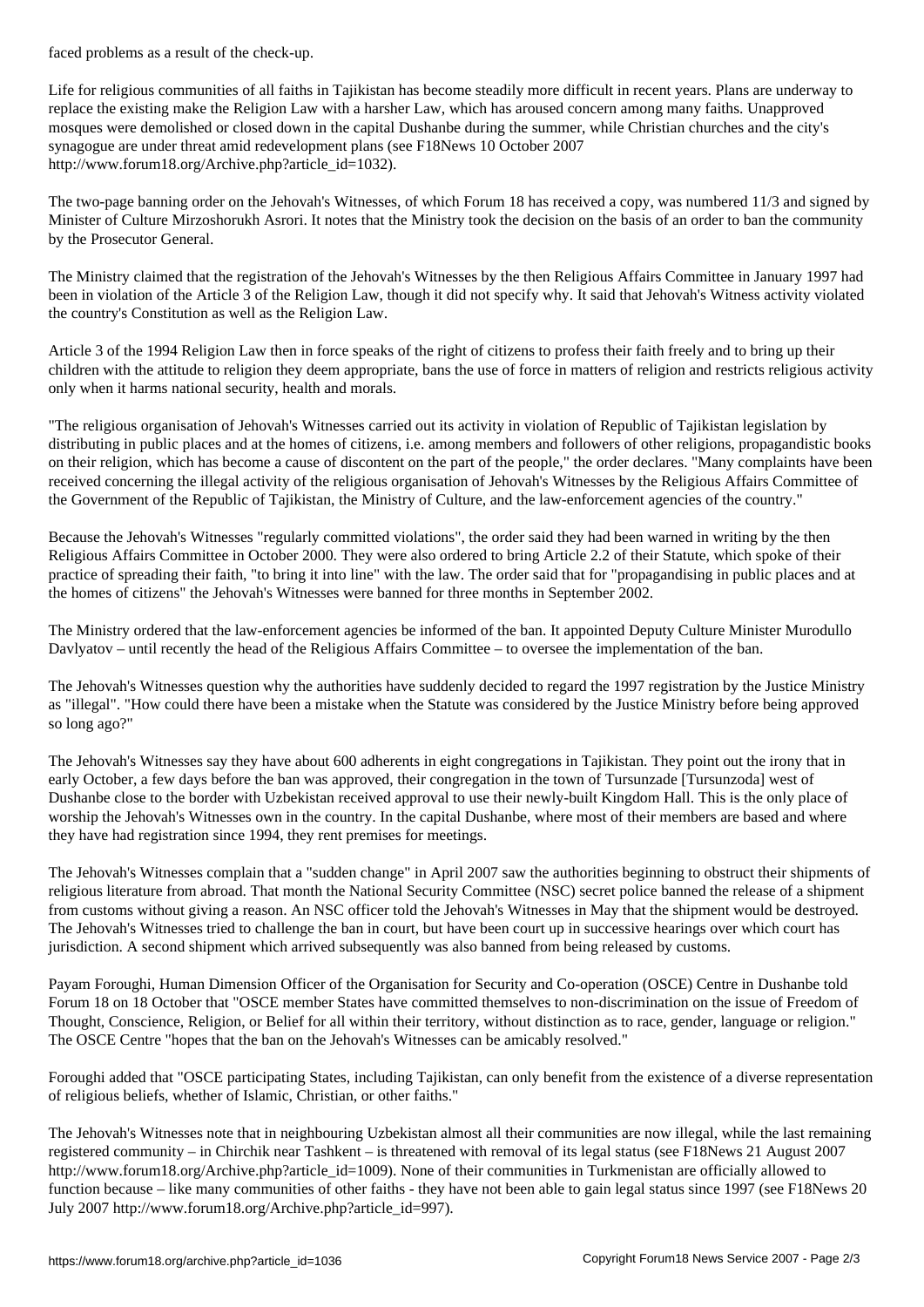Life for religious communities of all faiths in Tajikistan has become steadily more difficult in recent years. Plans are underway to replace the existing make the Religion Law with a harsher Law, which has aroused concern among many faiths. Unapproved mosques were demolished or closed down in the capital Dushanbe during the summer, while Christian churches and the city's synagogue are under threat amid redevelopment plans (see F18News 10 October 2007 http://www.forum18.org/Archive.php?article\_id=1032).

The two-page banning order on the Jehovah's Witnesses, of which Forum 18 has received a copy, was numbered 11/3 and signed by Minister of Culture Mirzoshorukh Asrori. It notes that the Ministry took the decision on the basis of an order to ban the community by the Prosecutor General.

The Ministry claimed that the registration of the Jehovah's Witnesses by the then Religious Affairs Committee in January 1997 had been in violation of the Article 3 of the Religion Law, though it did not specify why. It said that Jehovah's Witness activity violated the country's Constitution as well as the Religion Law.

Article 3 of the 1994 Religion Law then in force speaks of the right of citizens to profess their faith freely and to bring up their children with the attitude to religion they deem appropriate, bans the use of force in matters of religion and restricts religious activity only when it harms national security, health and morals.

"The religious organisation of Jehovah's Witnesses carried out its activity in violation of Republic of Tajikistan legislation by distributing in public places and at the homes of citizens, i.e. among members and followers of other religions, propagandistic books on their religion, which has become a cause of discontent on the part of the people," the order declares. "Many complaints have been received concerning the illegal activity of the religious organisation of Jehovah's Witnesses by the Religious Affairs Committee of the Government of the Republic of Tajikistan, the Ministry of Culture, and the law-enforcement agencies of the country."

Because the Jehovah's Witnesses "regularly committed violations", the order said they had been warned in writing by the then Religious Affairs Committee in October 2000. They were also ordered to bring Article 2.2 of their Statute, which spoke of their practice of spreading their faith, "to bring it into line" with the law. The order said that for "propagandising in public places and at the homes of citizens" the Jehovah's Witnesses were banned for three months in September 2002.

The Ministry ordered that the law-enforcement agencies be informed of the ban. It appointed Deputy Culture Minister Murodullo Davlyatov – until recently the head of the Religious Affairs Committee – to oversee the implementation of the ban.

The Jehovah's Witnesses question why the authorities have suddenly decided to regard the 1997 registration by the Justice Ministry as "illegal". "How could there have been a mistake when the Statute was considered by the Justice Ministry before being approved so long ago?"

The Jehovah's Witnesses say they have about 600 adherents in eight congregations in Tajikistan. They point out the irony that in early October, a few days before the ban was approved, their congregation in the town of Tursunzade [Tursunzoda] west of Dushanbe close to the border with Uzbekistan received approval to use their newly-built Kingdom Hall. This is the only place of worship the Jehovah's Witnesses own in the country. In the capital Dushanbe, where most of their members are based and where they have had registration since 1994, they rent premises for meetings.

The Jehovah's Witnesses complain that a "sudden change" in April 2007 saw the authorities beginning to obstruct their shipments of religious literature from abroad. That month the National Security Committee (NSC) secret police banned the release of a shipment from customs without giving a reason. An NSC officer told the Jehovah's Witnesses in May that the shipment would be destroyed. The Jehovah's Witnesses tried to challenge the ban in court, but have been court up in successive hearings over which court has jurisdiction. A second shipment which arrived subsequently was also banned from being released by customs.

Payam Foroughi, Human Dimension Officer of the Organisation for Security and Co-operation (OSCE) Centre in Dushanbe told Forum 18 on 18 October that "OSCE member States have committed themselves to non-discrimination on the issue of Freedom of Thought, Conscience, Religion, or Belief for all within their territory, without distinction as to race, gender, language or religion." The OSCE Centre "hopes that the ban on the Jehovah's Witnesses can be amicably resolved."

Foroughi added that "OSCE participating States, including Tajikistan, can only benefit from the existence of a diverse representation of religious beliefs, whether of Islamic, Christian, or other faiths."

The Jehovah's Witnesses note that in neighbouring Uzbekistan almost all their communities are now illegal, while the last remaining registered community – in Chirchik near Tashkent – is threatened with removal of its legal status (see F18News 21 August 2007 http://www.forum18.org/Archive.php?article\_id=1009). None of their communities in Turkmenistan are officially allowed to function because – like many communities of other faiths - they have not been able to gain legal status since 1997 (see F18News 20 July 2007 http://www.forum18.org/Archive.php?article\_id=997).